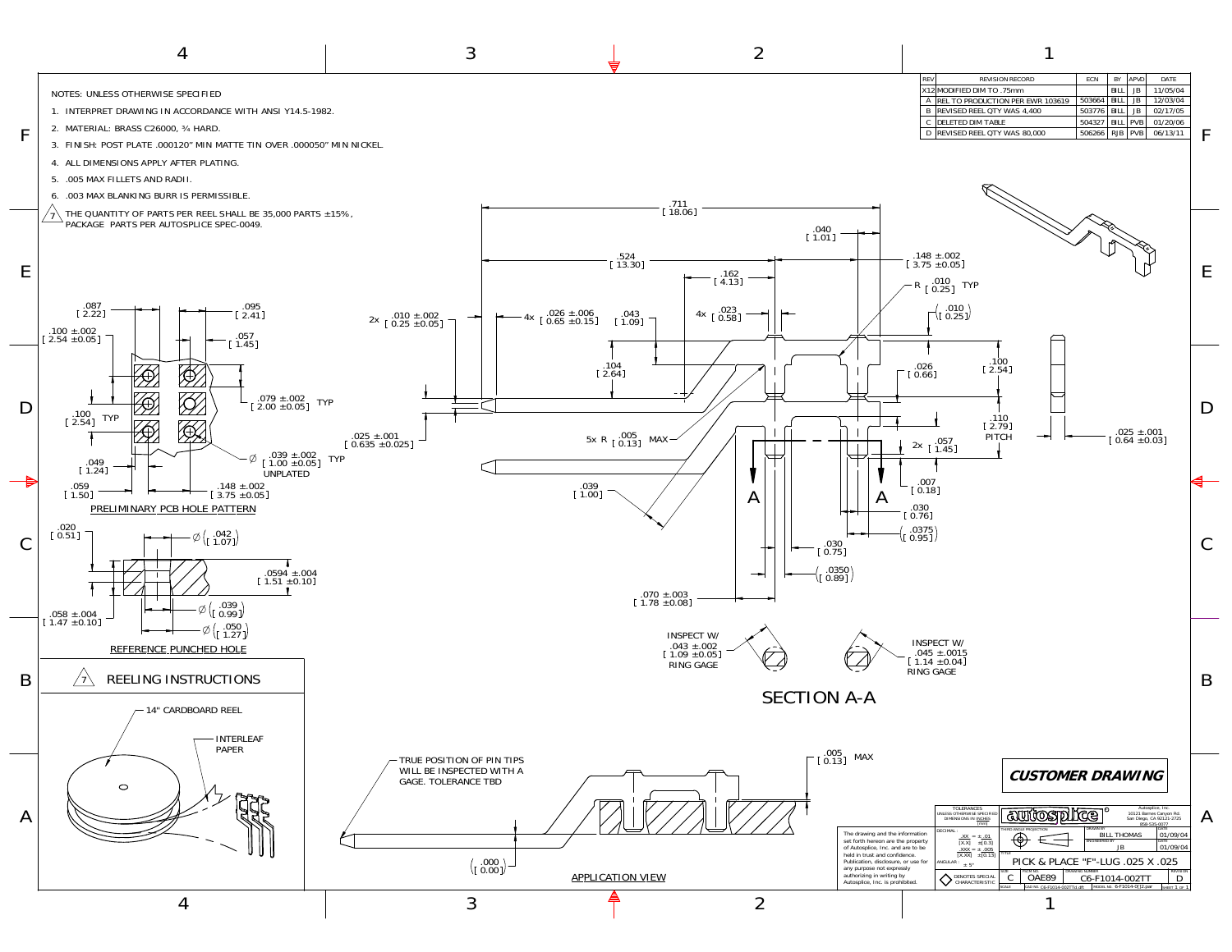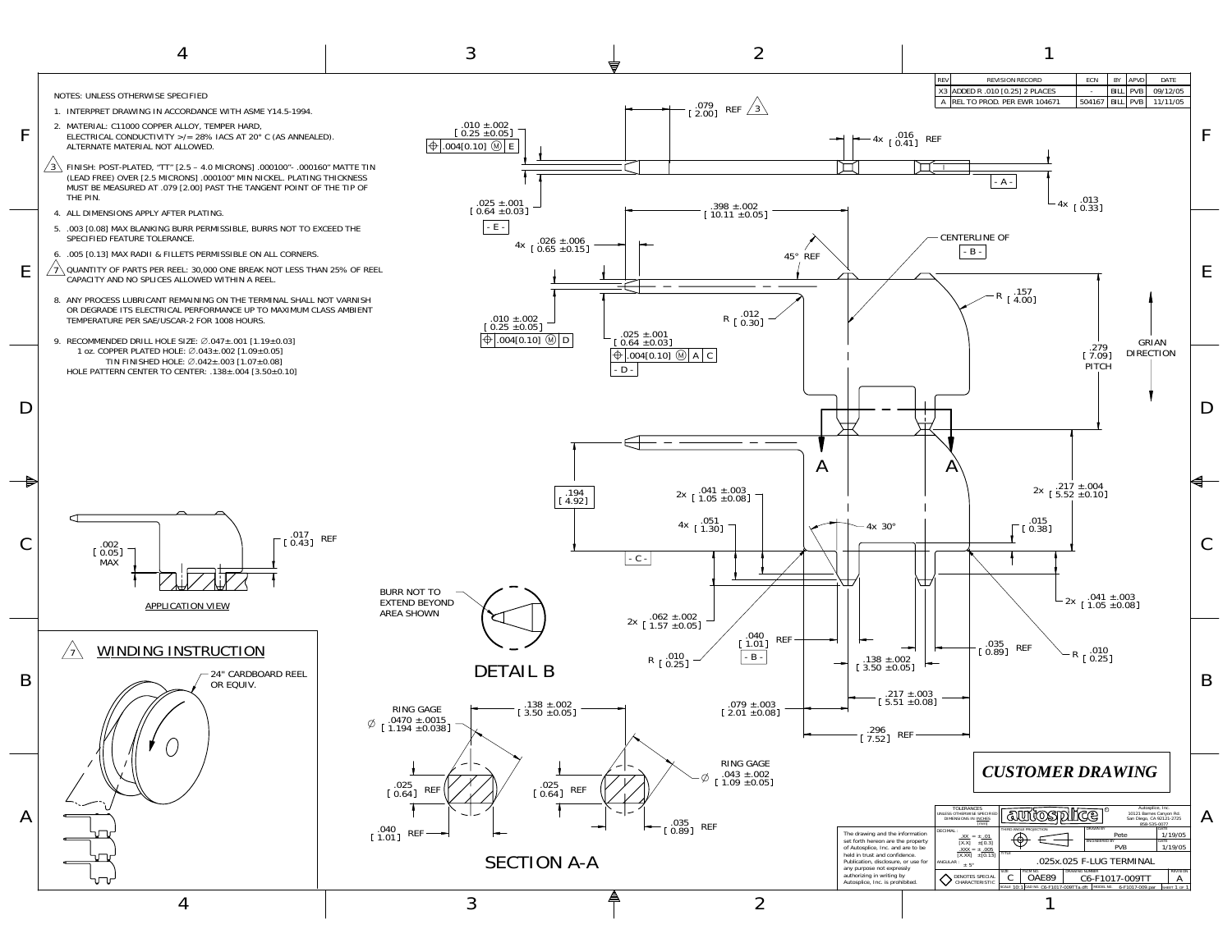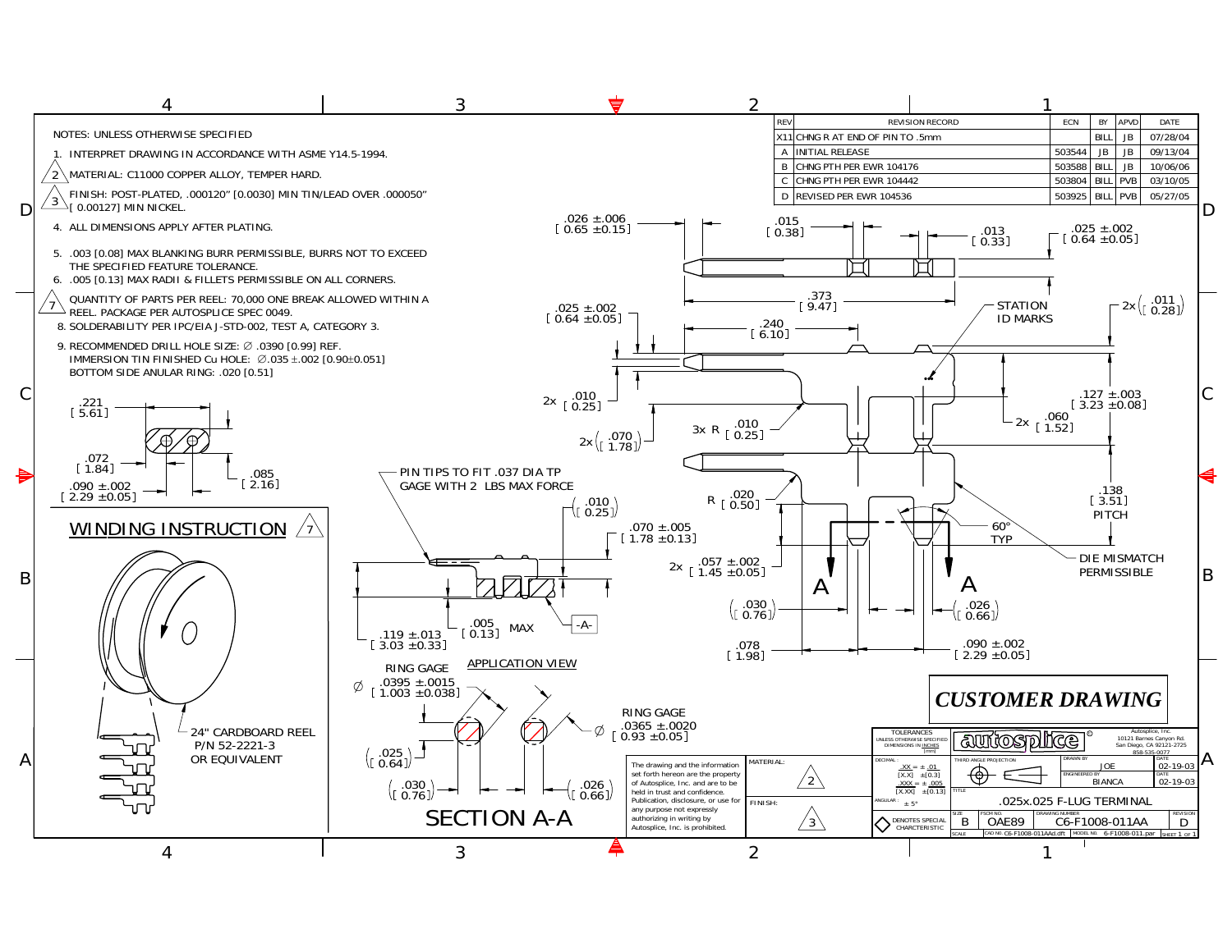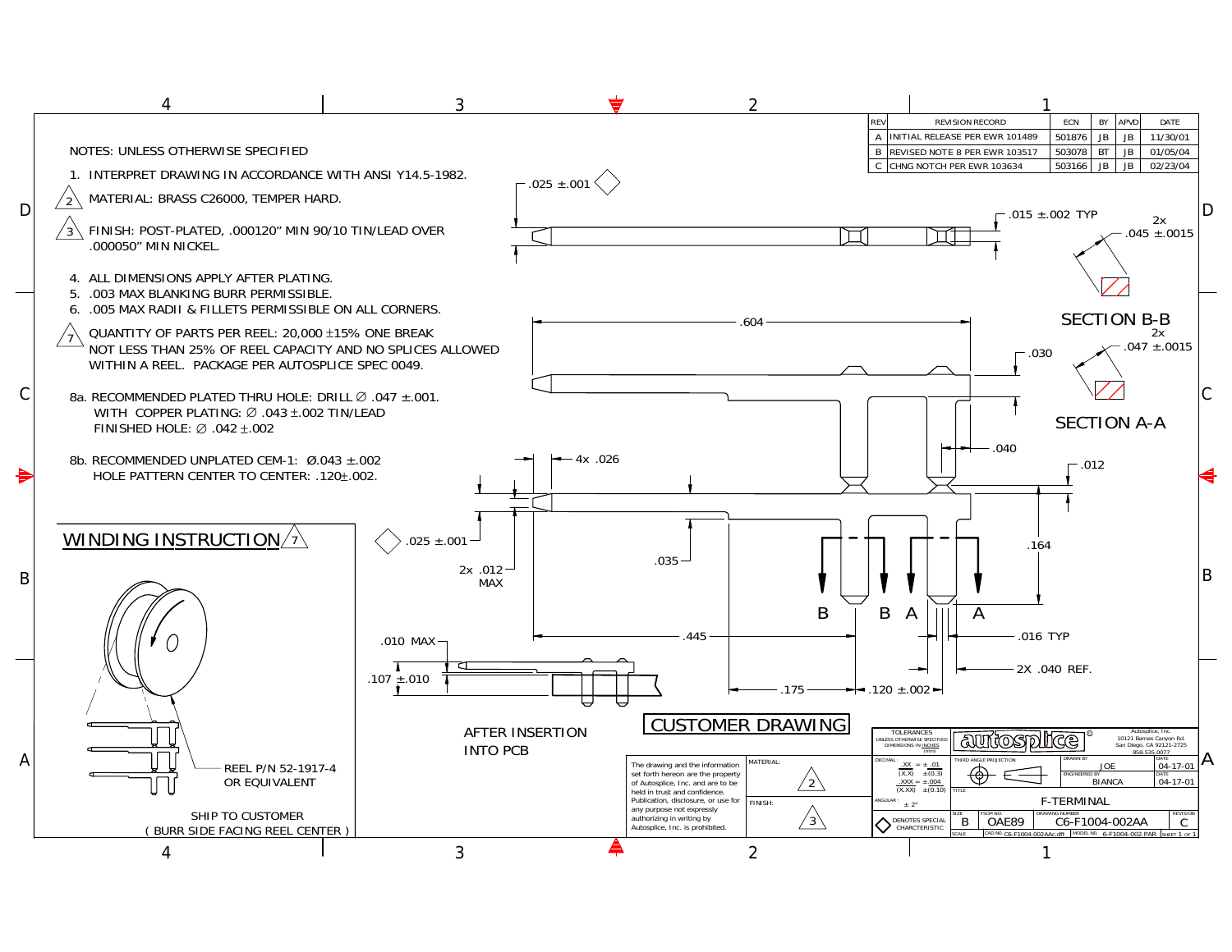